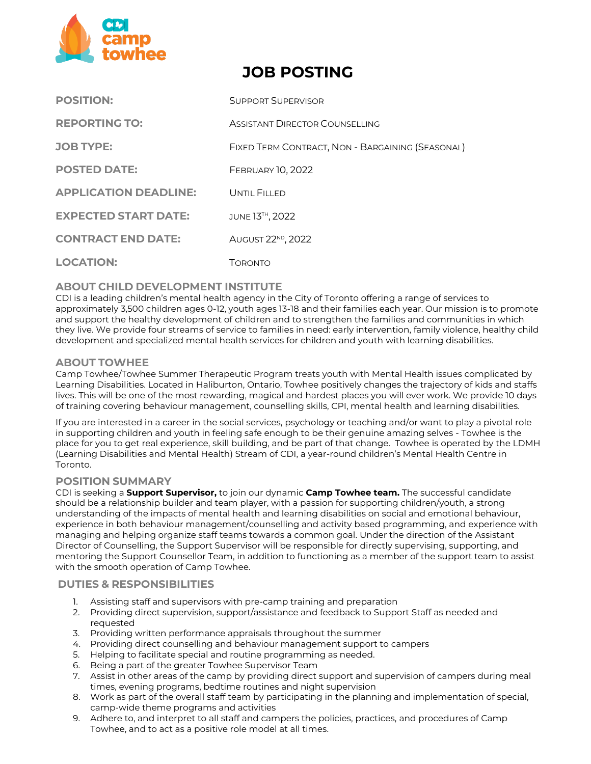

# **JOB POSTING**

| <b>POSITION:</b>             | <b>SUPPORT SUPERVISOR</b>                        |
|------------------------------|--------------------------------------------------|
| <b>REPORTING TO:</b>         | ASSISTANT DIRECTOR COUNSELLING                   |
| <b>JOB TYPE:</b>             | FIXED TERM CONTRACT, NON - BARGAINING (SEASONAL) |
| <b>POSTED DATE:</b>          | <b>FEBRUARY 10, 2022</b>                         |
| <b>APPLICATION DEADLINE:</b> | UNTIL FILLED                                     |
| <b>EXPECTED START DATE:</b>  | JUNE 13 <sup>TH</sup> , 2022                     |
| <b>CONTRACT END DATE:</b>    | AUGUST 22 <sup>ND</sup> , 2022                   |
| <b>LOCATION:</b>             | Торомто                                          |

# **ABOUT CHILD DEVELOPMENT INSTITUTE**

CDI is a leading children's mental health agency in the City of Toronto offering a range of services to approximately 3,500 children ages 0‐12, youth ages 13-18 and their families each year. Our mission is to promote and support the healthy development of children and to strengthen the families and communities in which they live. We provide four streams of service to families in need: early intervention, family violence, healthy child development and specialized mental health services for children and youth with learning disabilities.

## **ABOUT TOWHEE**

Camp Towhee/Towhee Summer Therapeutic Program treats youth with Mental Health issues complicated by Learning Disabilities. Located in Haliburton, Ontario, Towhee positively changes the trajectory of kids and staffs lives. This will be one of the most rewarding, magical and hardest places you will ever work. We provide 10 days of training covering behaviour management, counselling skills, CPI, mental health and learning disabilities.

If you are interested in a career in the social services, psychology or teaching and/or want to play a pivotal role in supporting children and youth in feeling safe enough to be their genuine amazing selves - Towhee is the place for you to get real experience, skill building, and be part of that change. Towhee is operated by the LDMH (Learning Disabilities and Mental Health) Stream of CDI, a year-round children's Mental Health Centre in Toronto.

### **POSITION SUMMARY**

CDI is seeking a **Support Supervisor,** to join our dynamic **Camp Towhee team.** The successful candidate should be a relationship builder and team player, with a passion for supporting children/youth, a strong understanding of the impacts of mental health and learning disabilities on social and emotional behaviour, experience in both behaviour management/counselling and activity based programming, and experience with managing and helping organize staff teams towards a common goal. Under the direction of the Assistant Director of Counselling, the Support Supervisor will be responsible for directly supervising, supporting, and mentoring the Support Counsellor Team, in addition to functioning as a member of the support team to assist with the smooth operation of Camp Towhee.

## **DUTIES & RESPONSIBILITIES**

- 1. Assisting staff and supervisors with pre-camp training and preparation
- 2. Providing direct supervision, support/assistance and feedback to Support Staff as needed and requested
- 3. Providing written performance appraisals throughout the summer
- 4. Providing direct counselling and behaviour management support to campers
- 5. Helping to facilitate special and routine programming as needed.
- 6. Being a part of the greater Towhee Supervisor Team
- 7. Assist in other areas of the camp by providing direct support and supervision of campers during meal times, evening programs, bedtime routines and night supervision
- 8. Work as part of the overall staff team by participating in the planning and implementation of special, camp-wide theme programs and activities
- 9. Adhere to, and interpret to all staff and campers the policies, practices, and procedures of Camp Towhee, and to act as a positive role model at all times.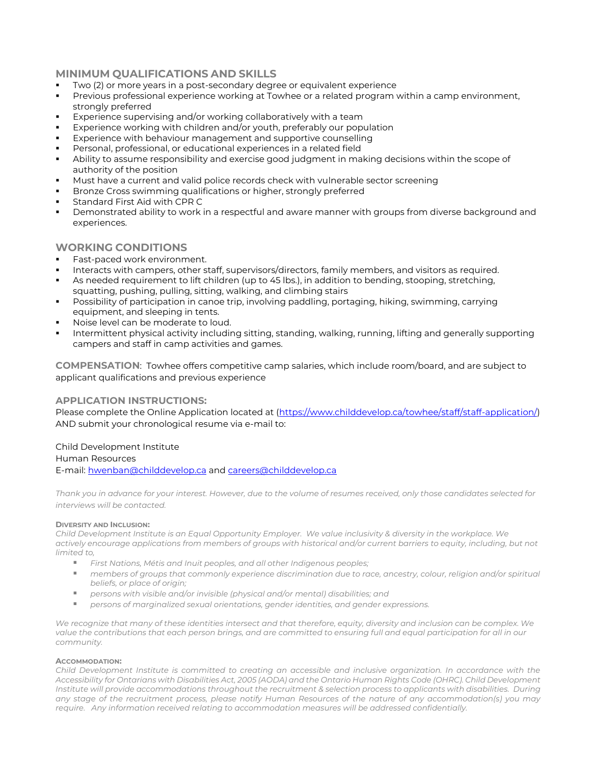# **MINIMUM QUALIFICATIONS AND SKILLS**

- Two (2) or more years in a post-secondary degree or equivalent experience
- Previous professional experience working at Towhee or a related program within a camp environment, strongly preferred
- Experience supervising and/or working collaboratively with a team
- Experience working with children and/or youth, preferably our population
- Experience with behaviour management and supportive counselling
- Personal, professional, or educational experiences in a related field
- Ability to assume responsibility and exercise good judgment in making decisions within the scope of authority of the position
- Must have a current and valid police records check with vulnerable sector screening
- Bronze Cross swimming qualifications or higher, strongly preferred
- Standard First Aid with CPR C
- Demonstrated ability to work in a respectful and aware manner with groups from diverse background and experiences.

# **WORKING CONDITIONS**

- Fast-paced work environment.
- Interacts with campers, other staff, supervisors/directors, family members, and visitors as required.
- As needed requirement to lift children (up to 45 lbs.), in addition to bending, stooping, stretching, squatting, pushing, pulling, sitting, walking, and climbing stairs
- Possibility of participation in canoe trip, involving paddling, portaging, hiking, swimming, carrying equipment, and sleeping in tents.
- Noise level can be moderate to loud.
- Intermittent physical activity including sitting, standing, walking, running, lifting and generally supporting campers and staff in camp activities and games.

**COMPENSATION**: Towhee offers competitive camp salaries, which include room/board, and are subject to applicant qualifications and previous experience

## **APPLICATION INSTRUCTIONS:**

Please complete the Online Application located at [\(https://www.childdevelop.ca/towhee/staff/staff-application/\)](https://www.childdevelop.ca/towhee/staff/staff-application/) AND submit your chronological resume via e-mail to:

## Child Development Institute

#### Human Resources

E-mail: [hwenban@childdevelop.ca](mailto:hwenban@childdevelop.ca) and [careers@childdevelop.ca](mailto:careers@childdevelop.ca)

*Thank you in advance for your interest. However, due to the volume of resumes received, only those candidates selected for interviews will be contacted.* 

#### **DIVERSITY AND INCLUSION:**

*Child Development Institute is an Equal Opportunity Employer. We value inclusivity & diversity in the workplace. We actively encourage applications from members of groups with historical and/or current barriers to equity, including, but not limited to,*

- *First Nations, Métis and Inuit peoples, and all other Indigenous peoples;*
- members of groups that commonly experience discrimination due to race, ancestry, colour, religion and/or spiritual *beliefs, or place of origin;*
- *persons with visible and/or invisible (physical and/or mental) disabilities; and*
- *persons of marginalized sexual orientations, gender identities, and gender expressions.*

*We recognize that many of these identities intersect and that therefore, equity, diversity and inclusion can be complex. We*  value the contributions that each person brings, and are committed to ensuring full and equal participation for all in our *community.*

#### **ACCOMMODATION:**

*Child Development Institute is committed to creating an accessible and inclusive organization. In accordance with the Accessibility for Ontarians with Disabilities Act, 2005 (AODA) and the Ontario Human Rights Code (OHRC). Child Development Institute will provide accommodations throughout the recruitment & selection process to applicants with disabilities. During any stage of the recruitment process, please notify Human Resources of the nature of any accommodation(s) you may require. Any information received relating to accommodation measures will be addressed confidentially.*